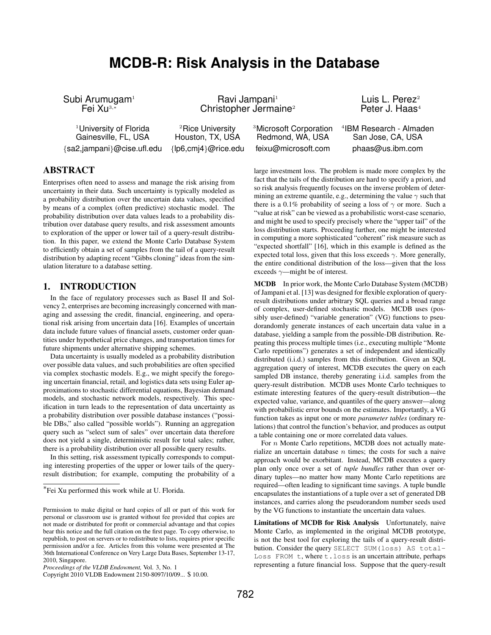# **MCDB-R: Risk Analysis in the Database**

Gainesville, FL, USA Houston, TX, USA Redmond, WA, USA San Jose, CA, USA {sa2,jampani}@cise.ufl.edu {lp6,cmj4}@rice.edu feixu@microsoft.com phaas@us.ibm.com

Subi Arumugam<sup>1</sup> Ravi Jampani<sup>1</sup> Ravi Jampani<sup>1</sup> Luis L. Perez<sup>2</sup><br>Fei Xu<sup>3,\*</sup> Christopher Jermaine<sup>2</sup> Peter J. Haas<sup>4</sup> Christopher Jermaine<sup>2</sup>

<sup>1</sup>University of Florida  $2Rice$  University  $3Mic$ rosoft Corporation

<sup>4</sup> IBM Research - Almaden

# ABSTRACT

Enterprises often need to assess and manage the risk arising from uncertainty in their data. Such uncertainty is typically modeled as a probability distribution over the uncertain data values, specified by means of a complex (often predictive) stochastic model. The probability distribution over data values leads to a probability distribution over database query results, and risk assessment amounts to exploration of the upper or lower tail of a query-result distribution. In this paper, we extend the Monte Carlo Database System to efficiently obtain a set of samples from the tail of a query-result distribution by adapting recent "Gibbs cloning" ideas from the simulation literature to a database setting.

# 1. INTRODUCTION

In the face of regulatory processes such as Basel II and Solvency 2, enterprises are becoming increasingly concerned with managing and assessing the credit, financial, engineering, and operational risk arising from uncertain data [16]. Examples of uncertain data include future values of financial assets, customer order quantities under hypothetical price changes, and transportation times for future shipments under alternative shipping schemes.

Data uncertainty is usually modeled as a probability distribution over possible data values, and such probabilities are often specified via complex stochastic models. E.g., we might specify the foregoing uncertain financial, retail, and logistics data sets using Euler approximations to stochastic differential equations, Bayesian demand models, and stochastic network models, respectively. This specification in turn leads to the representation of data uncertainty as a probability distribution over possible database instances ("possible DBs," also called "possible worlds"). Running an aggregation query such as "select sum of sales" over uncertain data therefore does not yield a single, deterministic result for total sales; rather, there is a probability distribution over all possible query results.

In this setting, risk assessment typically corresponds to computing interesting properties of the upper or lower tails of the queryresult distribution; for example, computing the probability of a large investment loss. The problem is made more complex by the fact that the tails of the distribution are hard to specify a priori, and so risk analysis frequently focuses on the inverse problem of determining an extreme quantile, e.g., determining the value  $\gamma$  such that there is a 0.1% probability of seeing a loss of  $\gamma$  or more. Such a "value at risk" can be viewed as a probabilistic worst-case scenario, and might be used to specify precisely where the "upper tail" of the loss distribution starts. Proceeding further, one might be interested in computing a more sophisticated "coherent" risk measure such as "expected shortfall" [16], which in this example is defined as the expected total loss, given that this loss exceeds  $\gamma$ . More generally, the entire conditional distribution of the loss—given that the loss exceeds  $\gamma$ —might be of interest.

MCDB In prior work, the Monte Carlo Database System (MCDB) of Jampani et al. [13] was designed for flexible exploration of queryresult distributions under arbitrary SQL queries and a broad range of complex, user-defined stochastic models. MCDB uses (possibly user-defined) "variable generation" (VG) functions to pseudorandomly generate instances of each uncertain data value in a database, yielding a sample from the possible-DB distribution. Repeating this process multiple times (i.e., executing multiple "Monte Carlo repetitions") generates a set of independent and identically distributed (i.i.d.) samples from this distribution. Given an SQL aggregation query of interest, MCDB executes the query on each sampled DB instance, thereby generating i.i.d. samples from the query-result distribution. MCDB uses Monte Carlo techniques to estimate interesting features of the query-result distribution—the expected value, variance, and quantiles of the query answer—along with probabilistic error bounds on the estimates. Importantly, a VG function takes as input one or more *parameter tables* (ordinary relations) that control the function's behavior, and produces as output a table containing one or more correlated data values.

For  $n$  Monte Carlo repetitions, MCDB does not actually materialize an uncertain database  $n$  times; the costs for such a naive approach would be exorbitant. Instead, MCDB executes a query plan only once over a set of *tuple bundles* rather than over ordinary tuples—no matter how many Monte Carlo repetitions are required—often leading to significant time savings. A tuple bundle encapsulates the instantiations of a tuple over a set of generated DB instances, and carries along the pseudorandom number seeds used by the VG functions to instantiate the uncertain data values.

Limitations of MCDB for Risk Analysis Unfortunately, naive Monte Carlo, as implemented in the original MCDB prototype, is not the best tool for exploring the tails of a query-result distribution. Consider the query SELECT SUM(loss) AS total-Loss FROM t, where t.loss is an uncertain attribute, perhaps representing a future financial loss. Suppose that the query-result

<sup>∗</sup> Fei Xu performed this work while at U. Florida.

Permission to make digital or hard copies of all or part of this work for personal or classroom use is granted without fee provided that copies are not made or distributed for profit or commercial advantage and that copies bear this notice and the full citation on the first page. To copy otherwise, to republish, to post on servers or to redistribute to lists, requires prior specific permission and/or a fee. Articles from this volume were presented at The 36th International Conference on Very Large Data Bases, September 13-17, 2010, Singapore.

*Proceedings of the VLDB Endowment,* Vol. 3, No. 1

Copyright 2010 VLDB Endowment 2150-8097/10/09... \$ 10.00.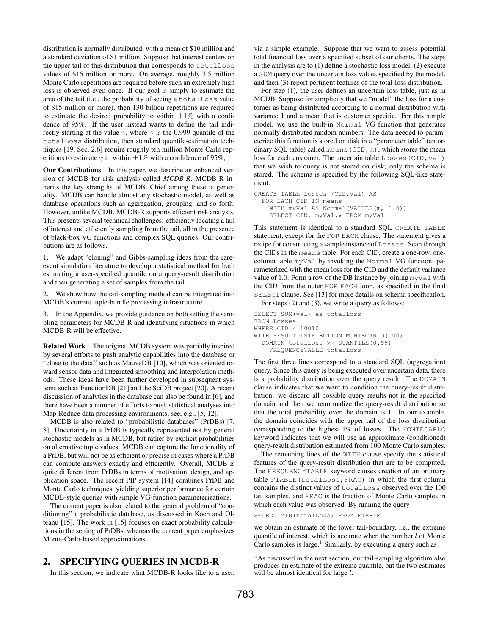distribution is normally distributed, with a mean of \$10 million and a standard deviation of \$1 million. Suppose that interest centers on the upper tail of this distribution that corresponds to totalLoss values of \$15 million or more. On average, roughly 3.5 million Monte Carlo repetitions are required before such an extremely high loss is observed even once. If our goal is simply to estimate the area of the tail (i.e., the probability of seeing a totalLoss value of \$15 million or more), then 130 billion repetitions are required to estimate the desired probability to within  $\pm 1\%$  with a confidence of 95%. If the user instead wants to define the tail indirectly starting at the value  $\gamma$ , where  $\gamma$  is the 0.999 quantile of the totalLoss distribution, then standard quantile-estimation techniques [19, Sec. 2.6] require roughly ten million Monte Carlo repetitions to estimate  $\gamma$  to within  $\pm 1\%$  with a confidence of 95%,

Our Contributions In this paper, we describe an enhanced version of MCDB for risk analysis called *MCDB-R*. MCDB-R inherits the key strengths of MCDB. Chief among these is generality. MCDB can handle almost any stochastic model, as well as database operations such as aggregation, grouping, and so forth. However, unlike MCDB, MCDB-R supports efficient risk analysis. This presents several technical challenges: efficiently locating a tail of interest and efficiently sampling from the tail, all in the presence of black-box VG functions and complex SQL queries. Our contributions are as follows.

1. We adapt "cloning" and Gibbs-sampling ideas from the rareevent simulation literature to develop a statistical method for both estimating a user-specified quantile on a query-result distribution and then generating a set of samples from the tail.

We show how the tail-sampling method can be integrated into MCDB's current tuple-bundle processing infrastructure.

3. In the Appendix, we provide guidance on both setting the sampling parameters for MCDB-R and identifying situations in which MCDB-R will be effective.

Related Work The original MCDB system was partially inspired by several efforts to push analytic capabilities into the database or "close to the data," such as MauveDB [10], which was oriented toward sensor data and integrated smoothing and interpolation methods. These ideas have been further developed in subsequent systems such as FunctionDB [21] and the SciDB project [20]. A recent discussion of analytics in the database can also be found in [6], and there have been a number of efforts to push statistical analyses into Map-Reduce data processing environments; see, e.g., [5, 12].

MCDB is also related to "probabilistic databases" (PrDBs) [7, 8]. Uncertainty in a PrDB is typically represented not by general stochastic models as in MCDB, but rather by explicit probabilities on alternative tuple values. MCDB can capture the functionality of a PrDB, but will not be as efficient or precise in cases where a PrDB can compute answers exactly and efficiently. Overall, MCDB is quite different from PrDBs in terms of motivation, design, and application space. The recent PIP system [14] combines PrDB and Monte Carlo techniques, yielding superior performance for certain MCDB-style queries with simple VG-function parameterizations.

The current paper is also related to the general problem of "conditioning" a probabilistic database, as discussed in Koch and Olteanu [15]. The work in [15] focuses on exact probability calculations in the setting of PrDBs, whereas the current paper emphasizes Monte-Carlo-based approximations.

# 2. SPECIFYING QUERIES IN MCDB-R

In this section, we indicate what MCDB-R looks like to a user,

via a simple example. Suppose that we want to assess potential total financial loss over a specified subset of our clients. The steps in the analysis are to (1) define a stochastic loss model, (2) execute a SUM query over the uncertain loss values specified by the model, and then (3) report pertinent features of the total-loss distribution.

For step (1), the user defines an uncertain loss table, just as in MCDB. Suppose for simplicity that we "model" the loss for a customer as being distributed according to a normal distribution with variance 1 and a mean that is customer specific. For this simple model, we use the built-in Normal VG function that generates normally distributed random numbers. The data needed to parameterize this function is stored on disk in a "parameter table" (an ordinary SQL table) called means (CID,  $m$ ), which stores the mean loss for each customer. The uncertain table Losses (CID, val) that we wish to query is not stored on disk; only the schema is stored. The schema is specified by the following SQL-like statement:

```
CREATE TABLE Losses (CID,val) AS
  FOR EACH CID IN means
    WITH myVal AS Normal(VALUES(m, 1.0))
    SELECT CID, myVal.* FROM myVal
```
This statement is identical to a standard SQL CREATE TABLE statement, except for the FOR EACH clause. The statement gives a recipe for constructing a sample instance of Losses. Scan through the CIDs in the means table. For each CID, create a one-row, onecolumn table myVal by invoking the Normal VG function, parameterized with the mean loss for the CID and the default variance value of 1.0. Form a row of the DB instance by joining myVal with the CID from the outer FOR EACH loop, as specified in the final SELECT clause. See [13] for more details on schema specification.

For steps (2) and (3), we write a query as follows:

```
SELECT SUM(val) as totalLoss
FROM Losses
WHERE CID < 10010
WITH RESULTDISTRIBUTION MONTECARLO(100)
  DOMAIN totalLoss >= QUANTILE(0.99)
    FREQUENCYTABLE totalLoss
```
The first three lines correspond to a standard SQL (aggregation) query. Since this query is being executed over uncertain data, there is a probability distribution over the query result. The DOMAIN clause indicates that we want to condition the query-result distribution: we discard all possible query results not in the specified domain and then we renormalize the query-result distribution so that the total probability over the domain is 1. In our example, the domain coincides with the upper tail of the loss distribution corresponding to the highest 1% of losses. The MONTECARLO keyword indicates that we will use an approximate (conditioned) query-result distribution estimated from 100 Monte Carlo samples.

The remaining lines of the WITH clause specify the statistical features of the query-result distribution that are to be computed. The FREQUENCYTABLE keyword causes creation of an ordinary table FTABLE(totalLoss,FRAC) in which the first column contains the distinct values of totalLoss observed over the 100 tail samples, and FRAC is the fraction of Monte Carlo samples in which each value was observed. By running the query

SELECT MIN(totalLoss) FROM FTABLE

we obtain an estimate of the lower tail-boundary, i.e., the extreme quantile of interest, which is accurate when the number  $l$  of Monte Carlo samples is large. $<sup>1</sup>$  Similarly, by executing a query such as</sup>

<sup>&</sup>lt;sup>1</sup>As discussed in the next section, our tail-sampling algorithm also produces an estimate of the extreme quantile, but the two estimates will be almost identical for large  $l$ .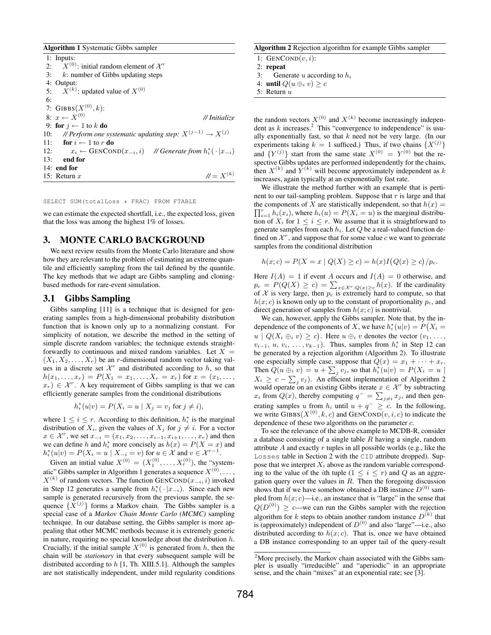Algorithm 1 Systematic Gibbs sampler

|     | $1:$ Inputs:                                                                            |
|-----|-----------------------------------------------------------------------------------------|
| 2:  | $X^{(0)}$ : initial random element of $X^r$                                             |
|     | 3: $k$ : number of Gibbs updating steps                                                 |
|     | 4: Output:                                                                              |
|     | 5: $\bar{X}^{(k)}$ : updated value of $X^{(0)}$                                         |
| 6:  |                                                                                         |
|     | 7: GIBBS( $X^{(0)}, k$ ):                                                               |
|     | 8: $x \leftarrow X^{(0)}$<br>// Initialize                                              |
|     | 9: for $i \leftarrow 1$ to k do                                                         |
|     | 10: // Perform one systematic updating step: $X^{(j-1)} \rightarrow X^{(j)}$            |
|     | 11: for $i \leftarrow 1$ to r do                                                        |
|     | $x_i \leftarrow$ GENCOND $(x_{-i}, i)$ // Generate from $h_i^* (\cdot   x_{-i})$<br>12: |
| 13: | end for                                                                                 |
|     | $14:$ end for                                                                           |
|     | $N = X^{(k)}$<br>15: Return $x$                                                         |

#### SELECT SUM(totalLoss \* FRAC) FROM FTABLE

we can estimate the expected shortfall, i.e., the expected loss, given that the loss was among the highest 1% of losses.

#### 3. MONTE CARLO BACKGROUND

We next review results from the Monte Carlo literature and show how they are relevant to the problem of estimating an extreme quantile and efficiently sampling from the tail defined by the quantile. The key methods that we adapt are Gibbs sampling and cloningbased methods for rare-event simulation.

#### 3.1 Gibbs Sampling

Gibbs sampling [11] is a technique that is designed for generating samples from a high-dimensional probability distribution function that is known only up to a normalizing constant. For simplicity of notation, we describe the method in the setting of simple discrete random variables; the technique extends straightforwardly to continuous and mixed random variables. Let  $X =$  $(X_1, X_2, \ldots, X_r)$  be an *r*-dimensional random vector taking values in a discrete set  $\mathcal{X}^r$  and distributed according to h, so that  $h(x_1, \ldots, x_r) = P(X_1 = x_1, \ldots, X_r = x_r)$  for  $x = (x_1, \ldots, x_r)$  $(x_r) \in \mathcal{X}^r$ . A key requirement of Gibbs sampling is that we can efficiently generate samples from the conditional distributions

$$
h_i^*(u|v) = P(X_i = u \mid X_j = v_j \text{ for } j \neq i),
$$

where  $1 \leq i \leq r$ . According to this definition,  $h_i^*$  is the marginal distribution of  $X_i$ , given the values of  $X_j$  for  $j \neq i$ . For a vector  $x \in \mathcal{X}^r$ , we set  $x_{-i} = (x_1, x_2, \dots, x_{i-1}, x_{i+1}, \dots, x_r)$  and then we can define h and  $h_i^*$  more concisely as  $h(x) = P(X = x)$  and  $h_i^*(u|v) = P(X_i = u \mid X_{-i} = v)$  for  $u \in \mathcal{X}$  and  $v \in \mathcal{X}^{r-1}$ .

Given an initial value  $X^{(0)} = (X_1^{(0)}, \dots, X_r^{(0)})$ , the "systematic" Gibbs sampler in Algorithm 1 generates a sequence  $X^{(0)}, \ldots,$  $X^{(k)}$  of random vectors. The function GENCOND $(x_{-i}, i)$  invoked in Step 12 generates a sample from  $h_i^* (· | x_{-i})$ . Since each new sample is generated recursively from the previous sample, the sequence  $\{X^{(j)}\}$  forms a Markov chain. The Gibbs sampler is a special case of a *Markov Chain Monte Carlo (MCMC)* sampling technique. In our database setting, the Gibbs sampler is more appealing that other MCMC methods because it is extremely generic in nature, requiring no special knowledge about the distribution  $h$ . Crucially, if the initial sample  $X^{(0)}$  is generated from h, then the chain will be *stationary* in that every subsequent sample will be distributed according to  $h$  [1, Th. XIII.5.1]. Although the samples are not statistically independent, under mild regularity conditions

#### Algorithm 2 Rejection algorithm for example Gibbs sampler

1:  $GENCOND(v, i)$ :

```
2: repeat
```
3: Generate u according to  $h_i$ 

4: until  $Q(u \oplus_i v) \geq c$ 

```
5: Return u
```
the random vectors  $X^{(0)}$  and  $X^{(k)}$  become increasingly independent as  $k$  increases.<sup>2</sup> This "convergence to independence" is usually exponentially fast, so that  $k$  need not be very large. (In our experiments taking  $k = 1$  sufficed.) Thus, if two chains  $\{X^{(j)}\}$ and  $\{Y^{(j)}\}$  start from the same state  $X^{(0)} = Y^{(0)}$  but the respective Gibbs updates are performed independently for the chains, then  $X^{(k)}$  and  $Y^{(k)}$  will become approximately independent as k increases, again typically at an exponentially fast rate.

We illustrate the method further with an example that is pertinent to our tail-sampling problem. Suppose that  $r$  is large and that the components of X are statistically independent, so that  $h(x) =$  $\prod_{i=1}^r h_i(x_i)$ , where  $h_i(u) = P(X_i = u)$  is the marginal distribution of  $X_i$  for  $1 \leq i \leq r$ . We assume that it is straightforward to generate samples from each  $h_i$ . Let  $Q$  be a real-valued function defined on  $\mathcal{X}^r$ , and suppose that for some value c we want to generate samples from the conditional distribution

$$
h(x; c) = P(X = x \mid Q(X) \ge c) = h(x)I(Q(x) \ge c)/p_c.
$$

Here  $I(A) = 1$  if event A occurs and  $I(A) = 0$  otherwise, and  $p_c = P(Q(X) \ge c) = \sum_{x \in \mathcal{X}^r : Q(x) \ge c} h(x)$ . If the cardinality of X is very large, then  $p_c$  is extremely hard to compute, so that  $h(x; c)$  is known only up to the constant of proportionality  $p_c$ , and direct generation of samples from  $h(x; c)$  is nontrivial.

We can, however, apply the Gibbs sampler. Note that, by the independence of the components of X, we have  $h_i^*(u|v) = P(X_i =$  $u \mid Q(X_i \oplus_i v) \geq c$ . Here  $u \oplus_i v$  denotes the vector  $(v_1, \ldots, v_n)$  $v_{i-1}, u, v_i, \ldots, v_{k-1}$ ). Thus, samples from  $h_i^*$  in Step 12 can be generated by a rejection algorithm (Algorithm 2). To illustrate one especially simple case, suppose that  $Q(x) = x_1 + \cdots + x_r$ . Then  $Q(u \oplus_i v) = u + \sum_j v_j$ , so that  $h_i^*(u|v) = P(X_i = u)$  $X_i \geq c - \sum_j v_j$ ). An efficient implementation of Algorithm 2 would operate on an existing Gibbs iterate  $x \in \mathcal{X}^r$  by subtracting  $x_i$  from  $Q(x)$ , thereby computing  $q^- = \sum_{j \neq i} x_j$ , and then generating samples u from  $h_i$  until  $u + q^- \geq c$ . In the following, we write GIBBS( $X^{(0)}, k, c$ ) and GENCOND $(v, i, c)$  to indicate the dependence of these two algorithms on the parameter c.

To see the relevance of the above example to MCDB-R, consider a database consisting of a single table  $R$  having a single, random attribute  $A$  and exactly  $r$  tuples in all possible worlds (e.g., like the Losses table in Section 2 with the CID attribute dropped). Suppose that we interpret  $X_i$  above as the random variable corresponding to the value of the *i*th tuple  $(1 \le i \le r)$  and Q as an aggregation query over the values in  $R$ . Then the foregoing discussion shows that if we have somehow obtained a DB instance  $D^{(0)}$  sampled from  $h(x; c)$ —i.e., an instance that is "large" in the sense that  $Q(D^{(0)}) \geq c$ —we can run the Gibbs sampler with the rejection algorithm for k steps to obtain another random instance  $D^{(k)}$  that is (approximately) independent of  $D^{(0)}$  and also 'large''—i.e., also distributed according to  $h(x; c)$ . That is, once we have obtained a DB instance corresponding to an upper tail of the query-result

 $2^2$ More precisely, the Markov chain associated with the Gibbs sampler is usually "irreducible" and "aperiodic" in an appropriate sense, and the chain "mixes" at an exponential rate; see [3].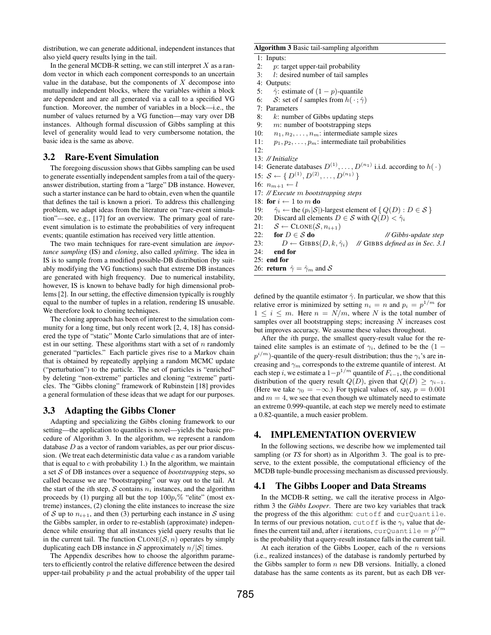distribution, we can generate additional, independent instances that also yield query results lying in the tail.

In the general MCDB-R setting, we can still interpret  $X$  as a random vector in which each component corresponds to an uncertain value in the database, but the components of  $X$  decompose into mutually independent blocks, where the variables within a block are dependent and are all generated via a call to a specified VG function. Moreover, the number of variables in a block—i.e., the number of values returned by a VG function—may vary over DB instances. Although formal discussion of Gibbs sampling at this level of generality would lead to very cumbersome notation, the basic idea is the same as above.

## 3.2 Rare-Event Simulation

The foregoing discussion shows that Gibbs sampling can be used to generate essentially independent samples from a tail of the queryanswer distribution, starting from a "large" DB instance. However, such a starter instance can be hard to obtain, even when the quantile that defines the tail is known a priori. To address this challenging problem, we adapt ideas from the literature on "rare-event simulation"—see, e.g., [17] for an overview. The primary goal of rareevent simulation is to estimate the probabilities of very infrequent events; quantile estimation has received very little attention.

The two main techniques for rare-event simulation are *importance sampling* (IS) and *cloning*, also called *splitting*. The idea in IS is to sample from a modified possible-DB distribution (by suitably modifying the VG functions) such that extreme DB instances are generated with high frequency. Due to numerical instability, however, IS is known to behave badly for high dimensional problems [2]. In our setting, the effective dimension typically is roughly equal to the number of tuples in a relation, rendering IS unusable. We therefore look to cloning techniques.

The cloning approach has been of interest to the simulation community for a long time, but only recent work [2, 4, 18] has considered the type of "static" Monte Carlo simulations that are of interest in our setting. These algorithms start with a set of  $n$  randomly generated "particles." Each particle gives rise to a Markov chain that is obtained by repeatedly applying a random MCMC update ("perturbation") to the particle. The set of particles is "enriched" by deleting "non-extreme" particles and cloning "extreme" particles. The "Gibbs cloning" framework of Rubinstein [18] provides a general formulation of these ideas that we adapt for our purposes.

#### 3.3 Adapting the Gibbs Cloner

Adapting and specializing the Gibbs cloning framework to our setting—the application to quantiles is novel—yields the basic procedure of Algorithm 3. In the algorithm, we represent a random database  $D$  as a vector of random variables, as per our prior discussion. (We treat each deterministic data value  $c$  as a random variable that is equal to  $c$  with probability 1.) In the algorithm, we maintain a set S of DB instances over a sequence of *bootstrapping* steps, so called because we are "bootstrapping" our way out to the tail. At the start of the *i*th step, S contains  $n_i$  instances, and the algorithm proceeds by (1) purging all but the top  $100p_i\%$  "elite" (most extreme) instances, (2) cloning the elite instances to increase the size of S up to  $n_{i+1}$ , and then (3) perturbing each instance in S using the Gibbs sampler, in order to re-establish (approximate) independence while ensuring that all instances yield query results that lie in the current tail. The function  $CLONE(S, n)$  operates by simply duplicating each DB instance in S approximately  $n/|S|$  times.

The Appendix describes how to choose the algorithm parameters to efficiently control the relative difference between the desired upper-tail probability  $p$  and the actual probability of the upper tail

#### Algorithm 3 Basic tail-sampling algorithm

#### 1: Inputs:

- 2: *p*: target upper-tail probability<br>3: *l*: desired number of tail samp
- 3:  $l:$  desired number of tail samples 4: Outputs:
- 4: Outputs:<br>5:  $\hat{\gamma}$ : esti
- $\hat{\gamma}$ : estimate of  $(1 p)$ -quantile
- 6: S: set of l samples from  $h(\cdot; \hat{\gamma})$
- 7: Parameters
- 8:  $k:$  number of Gibbs updating steps
- 9: m: number of bootstrapping steps
- 10:  $n_1, n_2, \ldots, n_m$ : intermediate sample sizes
- 11:  $p_1, p_2, \ldots, p_m$ : intermediate tail probabilities
- 12:
- 13: *// Initialize*
- 14: Generate databases  $D^{(1)}, \ldots, D^{(n_1)}$  i.i.d. according to  $h(\cdot)$
- 15:  $S \leftarrow \{ D^{(1)}, D^{(2)}, \ldots, D^{(n_1)} \}$
- 16:  $n_{m+1} \leftarrow l$
- 17: *// Execute* m *bootstrapping steps*
- 18: for  $i\leftarrow 1$  to  $m$  do
- 19:  $\hat{\gamma}_i \leftarrow$  the  $(p_i|\mathcal{S}|)$ -largest element of  $\{Q(D) : D \in \mathcal{S}\}\$
- 20: Discard all elements  $D \in \mathcal{S}$  with  $Q(D) < \hat{\gamma}_i$
- 21:  $S \leftarrow \text{CLONE}(\mathcal{S}, n_{i+1})$
- 22: **for**  $D \in S$  **do** *// Gibbs-update step*
- 23:  $D \leftarrow \text{GIBBS}(D, k, \hat{\gamma}_i)$  // GIBBS *defined as in Sec. 3.1*
- 24: end for
- 25: end for
- 26: **return**  $\hat{\gamma} = \hat{\gamma}_m$  and S

defined by the quantile estimator  $\hat{\gamma}$ . In particular, we show that this relative error is minimized by setting  $n_i = n$  and  $p_i = p^{1/m}$  for  $1 \leq i \leq m$ . Here  $n = N/m$ , where N is the total number of samples over all bootstrapping steps; increasing  $N$  increases cost but improves accuracy. We assume these values throughout.

After the ith purge, the smallest query-result value for the retained elite samples is an estimate of  $\gamma_i$ , defined to be the (1 –  $p^{i/m}$ )-quantile of the query-result distribution; thus the  $\gamma_i$ 's are increasing and  $\gamma_m$  corresponds to the extreme quantile of interest. At each step *i*, we estimate a  $1-p^{1/m}$  quantile of  $F_{i-1}$ , the conditional distribution of the query result  $Q(D)$ , given that  $Q(D) \geq \gamma_{i-1}$ . (Here we take  $\gamma_0 = -\infty$ .) For typical values of, say,  $p = 0.001$ and  $m = 4$ , we see that even though we ultimately need to estimate an extreme 0.999-quantile, at each step we merely need to estimate a 0.82-quantile, a much easier problem.

#### 4. IMPLEMENTATION OVERVIEW

In the following sections, we describe how we implemented tail sampling (or *TS* for short) as in Algorithm 3. The goal is to preserve, to the extent possible, the computational efficiency of the MCDB tuple-bundle processing mechanism as discussed previously.

#### 4.1 The Gibbs Looper and Data Streams

In the MCDB-R setting, we call the iterative process in Algorithm 3 the *Gibbs Looper*. There are two key variables that track the progress of the this algorithm: cutoff and curQuantile. In terms of our previous notation, cutoff is the  $\gamma_i$  value that defines the current tail and, after  $i$  iterations,  $\text{curl} \mathbb{Q}$ uantile  $=p^{i/m}$ is the probability that a query-result instance falls in the current tail.

At each iteration of the Gibbs Looper, each of the  $n$  versions (i.e., realized instances) of the database is randomly perturbed by the Gibbs sampler to form  $n$  new DB versions. Initially, a cloned database has the same contents as its parent, but as each DB ver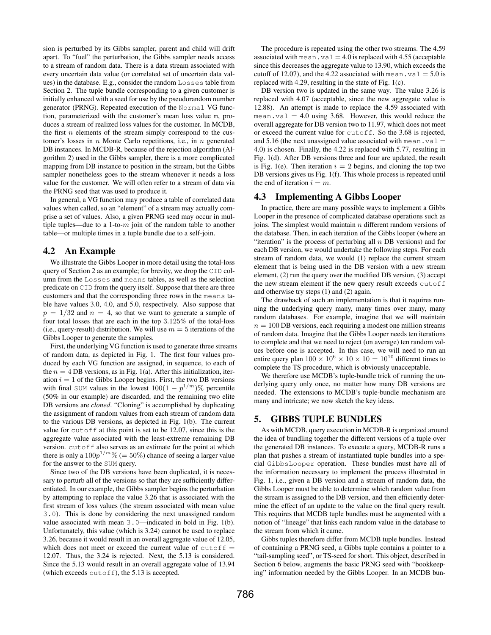sion is perturbed by its Gibbs sampler, parent and child will drift apart. To "fuel" the perturbation, the Gibbs sampler needs access to a stream of random data. There is a data stream associated with every uncertain data value (or correlated set of uncertain data values) in the database. E.g., consider the random Losses table from Section 2. The tuple bundle corresponding to a given customer is initially enhanced with a seed for use by the pseudorandom number generator (PRNG). Repeated execution of the Normal VG function, parameterized with the customer's mean loss value m, produces a stream of realized loss values for the customer. In MCDB, the first  $n$  elements of the stream simply correspond to the customer's losses in  $n$  Monte Carlo repetitions, i.e., in  $n$  generated DB instances. In MCDB-R, because of the rejection algorithm (Algorithm 2) used in the Gibbs sampler, there is a more complicated mapping from DB instance to position in the stream, but the Gibbs sampler nonetheless goes to the stream whenever it needs a loss value for the customer. We will often refer to a stream of data via the PRNG seed that was used to produce it.

In general, a VG function may produce a table of correlated data values when called, so an "element" of a stream may actually comprise a set of values. Also, a given PRNG seed may occur in multiple tuples—due to a 1-to- $m$  join of the random table to another table—or multiple times in a tuple bundle due to a self-join.

## 4.2 An Example

We illustrate the Gibbs Looper in more detail using the total-loss query of Section 2 as an example; for brevity, we drop the CID column from the Losses and means tables, as well as the selection predicate on CID from the query itself. Suppose that there are three customers and that the corresponding three rows in the means table have values 3.0, 4.0, and 5.0, respectively. Also suppose that  $p = 1/32$  and  $n = 4$ , so that we want to generate a sample of four total losses that are each in the top 3.125% of the total-loss (i.e., query-result) distribution. We will use  $m = 5$  iterations of the Gibbs Looper to generate the samples.

First, the underlying VG function is used to generate three streams of random data, as depicted in Fig. 1. The first four values produced by each VG function are assigned, in sequence, to each of the  $n = 4$  DB versions, as in Fig. 1(a). After this initialization, iteration  $i = 1$  of the Gibbs Looper begins. First, the two DB versions with final SUM values in the lowest  $100(1 - p^{1/m})\%$  percentile (50% in our example) are discarded, and the remaining two elite DB versions are *cloned*. "Cloning" is accomplished by duplicating the assignment of random values from each stream of random data to the various DB versions, as depicted in Fig. 1(b). The current value for cutoff at this point is set to be 12.07, since this is the aggregate value associated with the least-extreme remaining DB version. cutoff also serves as an estimate for the point at which there is only a  $100p^{1/m}\%$  (=  $50\%$ ) chance of seeing a larger value for the answer to the SUM query.

Since two of the DB versions have been duplicated, it is necessary to perturb all of the versions so that they are sufficiently differentiated. In our example, the Gibbs sampler begins the perturbation by attempting to replace the value 3.26 that is associated with the first stream of loss values (the stream associated with mean value 3.0). This is done by considering the next unassigned random value associated with mean 3.0—indicated in bold in Fig. 1(b). Unfortunately, this value (which is 3.24) cannot be used to replace 3.26, because it would result in an overall aggregate value of 12.05, which does not meet or exceed the current value of  $cutoff =$ 12.07. Thus, the 3.24 is rejected. Next, the 5.13 is considered. Since the 5.13 would result in an overall aggregate value of 13.94 (which exceeds  $cutoff$ ), the 5.13 is accepted.

The procedure is repeated using the other two streams. The 4.59 associated with mean.  $val = 4.0$  is replaced with 4.55 (acceptable since this decreases the aggregate value to 13.90, which exceeds the cutoff of 12.07), and the 4.22 associated with mean.  $val = 5.0$  is replaced with 4.29, resulting in the state of Fig. 1(c).

DB version two is updated in the same way. The value 3.26 is replaced with 4.07 (acceptable, since the new aggregate value is 12.88). An attempt is made to replace the 4.59 associated with mean.val  $= 4.0$  using 3.68. However, this would reduce the overall aggregate for DB version two to 11.97, which does not meet or exceed the current value for cutoff. So the 3.68 is rejected, and 5.16 (the next unassigned value associated with mean.val  $=$ 4.0) is chosen. Finally, the 4.22 is replaced with 5.77, resulting in Fig. 1(d). After DB versions three and four are updated, the result is Fig. 1(e). Then iteration  $i = 2$  begins, and cloning the top two DB versions gives us Fig. 1(f). This whole process is repeated until the end of iteration  $i = m$ .

#### 4.3 Implementing A Gibbs Looper

In practice, there are many possible ways to implement a Gibbs Looper in the presence of complicated database operations such as joins. The simplest would maintain  $n$  different random versions of the database. Then, in each iteration of the Gibbs looper (where an "iteration" is the process of perturbing all  $n$  DB versions) and for each DB version, we would undertake the following steps. For each stream of random data, we would (1) replace the current stream element that is being used in the DB version with a new stream element, (2) run the query over the modified DB version, (3) accept the new stream element if the new query result exceeds cutoff and otherwise try steps (1) and (2) again.

The drawback of such an implementation is that it requires running the underlying query many, many times over many, many random databases. For example, imagine that we will maintain  $n = 100$  DB versions, each requiring a modest one million streams of random data. Imagine that the Gibbs Looper needs ten iterations to complete and that we need to reject (on average) ten random values before one is accepted. In this case, we will need to run an entire query plan  $100 \times 10^6 \times 10 \times 10 = 10^{10}$  different times to complete the TS procedure, which is obviously unacceptable.

We therefore use MCDB's tuple-bundle trick of running the underlying query only once, no matter how many DB versions are needed. The extensions to MCDB's tuple-bundle mechanism are many and intricate; we now sketch the key ideas.

## 5. GIBBS TUPLE BUNDLES

As with MCDB, query execution in MCDB-R is organized around the idea of bundling together the different versions of a tuple over the generated DB instances. To execute a query, MCDB-R runs a plan that pushes a stream of instantiated tuple bundles into a special GibbsLooper operation. These bundles must have all of the information necessary to implement the process illustrated in Fig. 1, i.e., given a DB version and a stream of random data, the Gibbs Looper must be able to determine which random value from the stream is assigned to the DB version, and then efficiently determine the effect of an update to the value on the final query result. This requires that MCDB tuple bundles must be augmented with a notion of "lineage" that links each random value in the database to the stream from which it came.

Gibbs tuples therefore differ from MCDB tuple bundles. Instead of containing a PRNG seed, a Gibbs tuple contains a pointer to a "tail-sampling seed", or TS-seed for short. This object, described in Section 6 below, augments the basic PRNG seed with "bookkeeping" information needed by the Gibbs Looper. In an MCDB bun-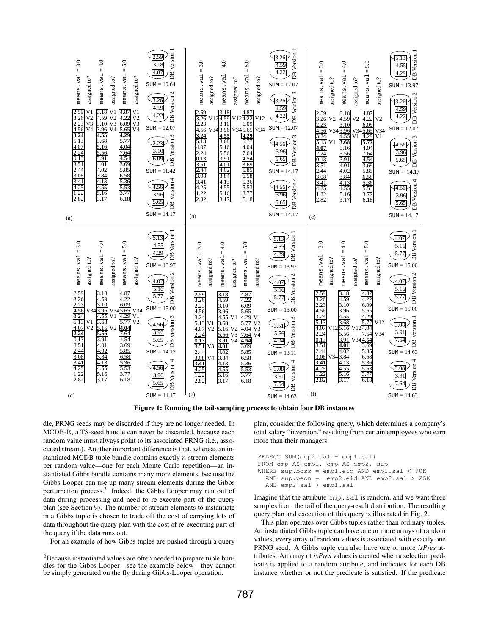

Figure 1: Running the tail-sampling process to obtain four DB instances

dle, PRNG seeds may be discarded if they are no longer needed. In MCDB-R, a TS-seed handle can never be discarded, because each random value must always point to its associated PRNG (i.e., associated stream). Another important difference is that, whereas an instantiated MCDB tuple bundle contains exactly  $n$  stream elements per random value—one for each Monte Carlo repetition—an instantiated Gibbs bundle contains many more elements, because the Gibbs Looper can use up many stream elements during the Gibbs perturbation process.<sup>3</sup> Indeed, the Gibbs Looper may run out of data during processing and need to re-execute part of the query plan (see Section 9). The number of stream elements to instantiate in a Gibbs tuple is chosen to trade off the cost of carrying lots of data throughout the query plan with the cost of re-executing part of the query if the data runs out.

For an example of how Gibbs tuples are pushed through a query

plan, consider the following query, which determines a company's total salary "inversion," resulting from certain employees who earn more than their managers:

SELECT SUM(emp2.sal - emp1.sal) FROM emp AS emp1, emp AS emp2, sup WHERE sup.boss = emp1.eid AND emp1.sal < 90K AND sup.peon = emp2.eid AND emp2.sal > 25K AND emp2.sal > emp1.sal

Imagine that the attribute emp. sal is random, and we want three samples from the tail of the query-result distribution. The resulting query plan and execution of this query is illustrated in Fig. 2.

This plan operates over Gibbs tuples rather than ordinary tuples. An instantiated Gibbs tuple can have one or more arrays of random values; every array of random values is associated with exactly one PRNG seed. A Gibbs tuple can also have one or more *isPres* attributes. An array of *isPres* values is created when a selection predicate is applied to a random attribute, and indicates for each DB instance whether or not the predicate is satisfied. If the predicate

<sup>&</sup>lt;sup>3</sup>Because instantiated values are often needed to prepare tuple bundles for the Gibbs Looper—see the example below—they cannot be simply generated on the fly during Gibbs-Looper operation.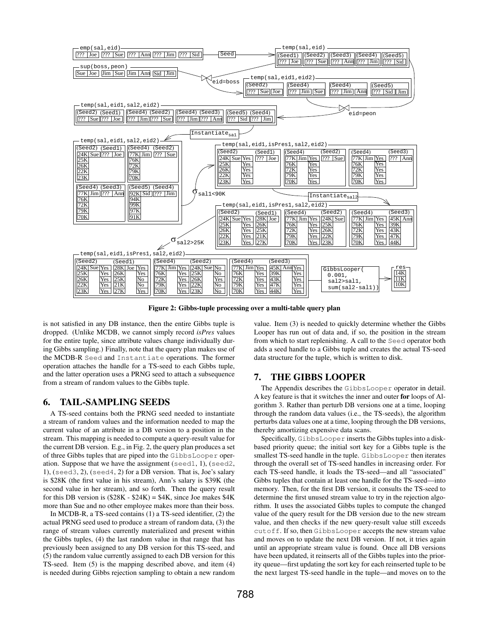

Figure 2: Gibbs-tuple processing over a multi-table query plan

is not satisfied in any DB instance, then the entire Gibbs tuple is dropped. (Unlike MCDB, we cannot simply record *isPres* values for the entire tuple, since attribute values change individually during Gibbs sampling.) Finally, note that the query plan makes use of the MCDB-R Seed and Instantiate operations. The former operation attaches the handle for a TS-seed to each Gibbs tuple, and the latter operation uses a PRNG seed to attach a subsequence from a stream of random values to the Gibbs tuple.

## 6. TAIL-SAMPLING SEEDS

A TS-seed contains both the PRNG seed needed to instantiate a stream of random values and the information needed to map the current value of an attribute in a DB version to a position in the stream. This mapping is needed to compute a query-result value for the current DB version. E.g., in Fig. 2, the query plan produces a set of three Gibbs tuples that are piped into the GibbsLooper operation. Suppose that we have the assignment (seed1, 1), (seed2, 1), (seed3, 2), (seed4, 2) for a DB version. That is, Joe's salary is \$28K (the first value in his stream), Ann's salary is \$39K (the second value in her stream), and so forth. Then the query result for this DB version is  $(\$28K - \$24K) = \$4K$ , since Joe makes  $\$4K$ more than Sue and no other employee makes more than their boss.

In MCDB-R, a TS-seed contains (1) a TS-seed identifier, (2) the actual PRNG seed used to produce a stream of random data, (3) the range of stream values currently materialized and present within the Gibbs tuples, (4) the last random value in that range that has previously been assigned to any DB version for this TS-seed, and (5) the random value currently assigned to each DB version for this TS-seed. Item (5) is the mapping described above, and item (4) is needed during Gibbs rejection sampling to obtain a new random

value. Item (3) is needed to quickly determine whether the Gibbs Looper has run out of data and, if so, the position in the stream from which to start replenishing. A call to the Seed operator both adds a seed handle to a Gibbs tuple and creates the actual TS-seed data structure for the tuple, which is written to disk.

#### 7. THE GIBBS LOOPER

The Appendix describes the GibbsLooper operator in detail. A key feature is that it switches the inner and outer for loops of Algorithm 3. Rather than perturb DB versions one at a time, looping through the random data values (i.e., the TS-seeds), the algorithm perturbs data values one at a time, looping through the DB versions, thereby amortizing expensive data scans.

Specifically, GibbsLooper inserts the Gibbs tuples into a diskbased priority queue; the initial sort key for a Gibbs tuple is the smallest TS-seed handle in the tuple. GibbsLooper then iterates through the overall set of TS-seed handles in increasing order. For each TS-seed handle, it loads the TS-seed—and all "associated" Gibbs tuples that contain at least one handle for the TS-seed—into memory. Then, for the first DB version, it consults the TS-seed to determine the first unused stream value to try in the rejection algorithm. It uses the associated Gibbs tuples to compute the changed value of the query result for the DB version due to the new stream value, and then checks if the new query-result value still exceeds cutoff. If so, then GibbsLooper accepts the new stream value and moves on to update the next DB version. If not, it tries again until an appropriate stream value is found. Once all DB versions have been updated, it reinserts all of the Gibbs tuples into the priority queue—first updating the sort key for each reinserted tuple to be the next largest TS-seed handle in the tuple—and moves on to the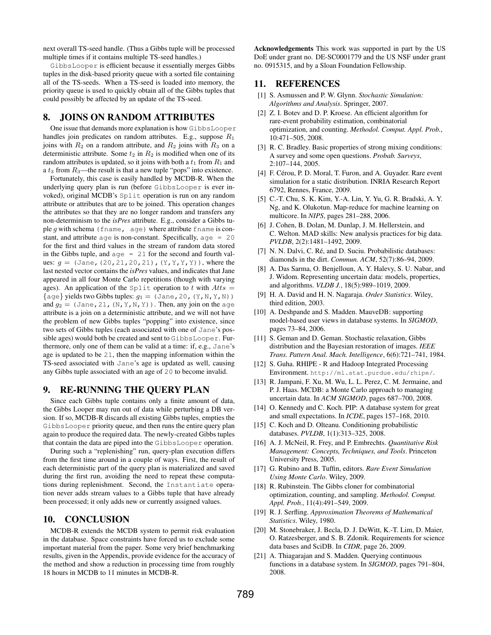next overall TS-seed handle. (Thus a Gibbs tuple will be processed multiple times if it contains multiple TS-seed handles.)

GibbsLooper is efficient because it essentially merges Gibbs tuples in the disk-based priority queue with a sorted file containing all of the TS-seeds. When a TS-seed is loaded into memory, the priority queue is used to quickly obtain all of the Gibbs tuples that could possibly be affected by an update of the TS-seed.

## 8. JOINS ON RANDOM ATTRIBUTES

One issue that demands more explanation is how GibbsLooper handles join predicates on random attributes. E.g., suppose  $R_1$ joins with  $R_2$  on a random attribute, and  $R_2$  joins with  $R_3$  on a deterministic attribute. Some  $t_2$  in  $R_2$  is modified when one of its random attributes is updated, so it joins with both a  $t_1$  from  $R_1$  and a  $t_3$  from  $R_3$ —the result is that a new tuple "pops" into existence.

Fortunately, this case is easily handled by MCDB-R. When the underlying query plan is run (before GibbsLooper is ever invoked), original MCDB's Split operation is run on any random attribute or attributes that are to be joined. This operation changes the attributes so that they are no longer random and transfers any non-determinism to the *isPres* attribute. E.g., consider a Gibbs tuple  $g$  with schema (fname, age) where attribute fname is constant, and attribute age is non-constant. Specifically, age = 20 for the first and third values in the stream of random data stored in the Gibbs tuple, and  $aq = 21$  for the second and fourth values:  $g = (Jane, (20, 21, 20, 21), (Y, Y, Y, Y))$ , where the last nested vector contains the *isPres* values, and indicates that Jane appeared in all four Monte Carlo repetitions (though with varying ages). An application of the Split operation to t with  $Atts =$  $\{ \text{age} \}$  yields two Gibbs tuples:  $q_1 = (\text{Jane}, 20, (Y, N, Y, N))$ and  $g_2 = (\text{Jane}, 21, (N, Y, N, Y))$ . Then, any join on the age attribute is a join on a deterministic attribute, and we will not have the problem of new Gibbs tuples "popping" into existence, since two sets of Gibbs tuples (each associated with one of Jane's possible ages) would both be created and sent to GibbsLooper. Furthermore, only one of them can be valid at a time: if, e.g., Jane's age is updated to be 21, then the mapping information within the TS-seed associated with Jane's age is updated as well, causing any Gibbs tuple associated with an age of 20 to become invalid.

## 9. RE-RUNNING THE QUERY PLAN

Since each Gibbs tuple contains only a finite amount of data, the Gibbs Looper may run out of data while perturbing a DB version. If so, MCDB-R discards all existing Gibbs tuples, empties the GibbsLooper priority queue, and then runs the entire query plan again to produce the required data. The newly-created Gibbs tuples that contain the data are piped into the GibbsLooper operation.

During such a "replenishing" run, query-plan execution differs from the first time around in a couple of ways. First, the result of each deterministic part of the query plan is materialized and saved during the first run, avoiding the need to repeat these computations during replenishment. Second, the Instantiate operation never adds stream values to a Gibbs tuple that have already been processed; it only adds new or currently assigned values.

## 10. CONCLUSION

MCDB-R extends the MCDB system to permit risk evaluation in the database. Space constraints have forced us to exclude some important material from the paper. Some very brief benchmarking results, given in the Appendix, provide evidence for the accuracy of the method and show a reduction in processing time from roughly 18 hours in MCDB to 11 minutes in MCDB-R.

Acknowledgements This work was supported in part by the US DoE under grant no. DE-SC0001779 and the US NSF under grant no. 0915315, and by a Sloan Foundation Fellowship.

#### 11. REFERENCES

- [1] S. Asmussen and P. W. Glynn. *Stochastic Simulation: Algorithms and Analysis*. Springer, 2007.
- [2] Z. I. Botev and D. P. Kroese. An efficient algorithm for rare-event probability estimation, combinatorial optimization, and counting. *Methodol. Comput. Appl. Prob.*, 10:471–505, 2008.
- [3] R. C. Bradley. Basic properties of strong mixing conditions: A survey and some open questions. *Probab. Surveys*, 2:107–144, 2005.
- [4] F. Cérou, P. D. Moral, T. Furon, and A. Guyader. Rare event simulation for a static distribution. INRIA Research Report 6792, Rennes, France, 2009.
- [5] C.-T. Chu, S. K. Kim, Y.-A. Lin, Y. Yu, G. R. Bradski, A. Y. Ng, and K. Olukotun. Map-reduce for machine learning on multicore. In *NIPS*, pages 281–288, 2006.
- [6] J. Cohen, B. Dolan, M. Dunlap, J. M. Hellerstein, and C. Welton. MAD skills: New analysis practices for big data. *PVLDB*, 2(2):1481–1492, 2009.
- [7] N. N. Dalvi, C. Ré, and D. Suciu. Probabilistic databases: diamonds in the dirt. *Commun. ACM*, 52(7):86–94, 2009.
- [8] A. Das Sarma, O. Benjelloun, A. Y. Halevy, S. U. Nabar, and J. Widom. Representing uncertain data: models, properties, and algorithms. *VLDB J.*, 18(5):989–1019, 2009.
- [9] H. A. David and H. N. Nagaraja. *Order Statistics*. Wiley, third edition, 2003.
- [10] A. Deshpande and S. Madden. MauveDB: supporting model-based user views in database systems. In *SIGMOD*, pages 73–84, 2006.
- [11] S. Geman and D. Geman. Stochastic relaxation, Gibbs distribution and the Bayesian restoration of images. *IEEE Trans. Pattern Anal. Mach. Intelligence*, 6(6):721–741, 1984.
- [12] S. Guha. RHIPE R and Hadoop Integrated Processing Environment. http://ml.stat.purdue.edu/rhipe/.
- [13] R. Jampani, F. Xu, M. Wu, L. L. Perez, C. M. Jermaine, and P. J. Haas. MCDB: a Monte Carlo approach to managing uncertain data. In *ACM SIGMOD*, pages 687–700, 2008.
- [14] O. Kennedy and C. Koch. PIP: A database system for great and small expectations. In *ICDE*, pages 157–168, 2010.
- [15] C. Koch and D. Olteanu. Conditioning probabilistic databases. *PVLDB*, 1(1):313–325, 2008.
- [16] A. J. McNeil, R. Frey, and P. Embrechts. *Quantitative Risk Management: Concepts, Techniques, and Tools*. Princeton University Press, 2005.
- [17] G. Rubino and B. Tuffin, editors. *Rare Event Simulation Using Monte Carlo*. Wiley, 2009.
- [18] R. Rubinstein. The Gibbs cloner for combinatorial optimization, counting, and sampling. *Methodol. Comput. Appl. Prob.*, 11(4):491–549, 2009.
- [19] R. J. Serfling. *Approximation Theorems of Mathematical Statistics*. Wiley, 1980.
- [20] M. Stonebraker, J. Becla, D. J. DeWitt, K.-T. Lim, D. Maier, O. Ratzesberger, and S. B. Zdonik. Requirements for science data bases and SciDB. In *CIDR*, page 26, 2009.
- [21] A. Thiagarajan and S. Madden. Querying continuous functions in a database system. In *SIGMOD*, pages 791–804, 2008.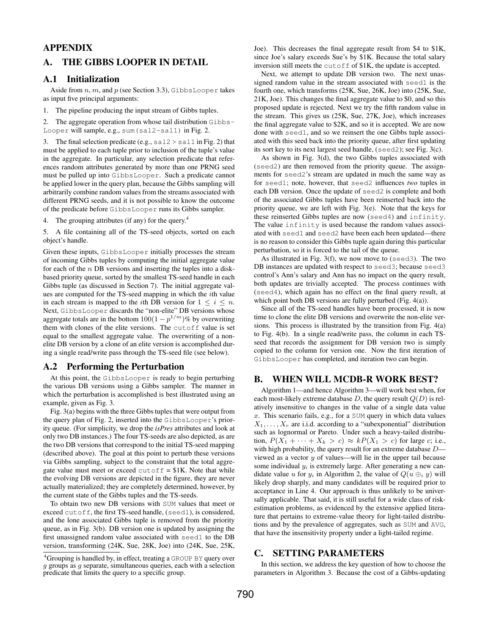# APPENDIX

# A. THE GIBBS LOOPER IN DETAIL

#### A.1 Initialization

Aside from  $n, m$ , and  $p$  (see Section 3.3), Gibbs Looper takes as input five principal arguments:

1. The pipeline producing the input stream of Gibbs tuples.

2. The aggregate operation from whose tail distribution Gibbs-Looper will sample, e.g., sum(sal2-sal1) in Fig. 2.

3. The final selection predicate (e.g.,  $\text{sal}2 > \text{sal}1$  in Fig. 2) that must be applied to each tuple prior to inclusion of the tuple's value in the aggregate. In particular, any selection predicate that references random attributes generated by more than one PRNG seed must be pulled up into GibbsLooper. Such a predicate cannot be applied lower in the query plan, because the Gibbs sampling will arbitrarily combine random values from the streams associated with different PRNG seeds, and it is not possible to know the outcome of the predicate before GibbsLooper runs its Gibbs sampler.

4. The grouping attributes (if any) for the query.<sup>4</sup>

5. A file containing all of the TS-seed objects, sorted on each object's handle.

Given these inputs, GibbsLooper initially processes the stream of incoming Gibbs tuples by computing the initial aggregate value for each of the  $n$  DB versions and inserting the tuples into a diskbased priority queue, sorted by the smallest TS-seed handle in each Gibbs tuple (as discussed in Section 7). The initial aggregate values are computed for the TS-seed mapping in which the ith value in each stream is mapped to the *i*th DB version for  $1 \le i \le n$ . Next, GibbsLooper discards the "non-elite" DB versions whose aggregate totals are in the bottom  $100(1-p^{1/m})\%$  by overwriting them with clones of the elite versions. The cutoff value is set equal to the smallest aggregate value. The overwriting of a nonelite DB version by a clone of an elite version is accomplished during a single read/write pass through the TS-seed file (see below).

#### A.2 Performing the Perturbation

At this point, the GibbsLooper is ready to begin perturbing the various DB versions using a Gibbs sampler. The manner in which the perturbation is accomplished is best illustrated using an example, given as Fig. 3.

Fig. 3(a) begins with the three Gibbs tuples that were output from the query plan of Fig. 2, inserted into the GibbsLooper's priority queue. (For simplicity, we drop the *isPres* attributes and look at only two DB instances.) The four TS-seeds are also depicted, as are the two DB versions that correspond to the initial TS-seed mapping (described above). The goal at this point to perturb these versions via Gibbs sampling, subject to the constraint that the total aggregate value must meet or exceed  $\text{cutoff} = $1K$ . Note that while the evolving DB versions are depicted in the figure, they are never actually materialized; they are completely determined, however, by the current state of the Gibbs tuples and the TS-seeds.

To obtain two new DB versions with SUM values that meet or exceed cutoff, the first TS-seed handle, (seed1), is considered, and the lone associated Gibbs tuple is removed from the priority queue, as in Fig. 3(b). DB version one is updated by assigning the first unassigned random value associated with seed1 to the DB version, transforming (24K, Sue, 28K, Joe) into (24K, Sue, 25K, Joe). This decreases the final aggregate result from \$4 to \$1K, since Joe's salary exceeds Sue's by \$1K. Because the total salary inversion still meets the cutoff of \$1K, the update is accepted.

Next, we attempt to update DB version two. The next unassigned random value in the stream associated with seed1 is the fourth one, which transforms (25K, Sue, 26K, Joe) into (25K, Sue, 21K, Joe). This changes the final aggregate value to \$0, and so this proposed update is rejected. Next we try the fifth random value in the stream. This gives us (25K, Sue, 27K, Joe), which increases the final aggregate value to \$2K, and so it is accepted. We are now done with seed1, and so we reinsert the one Gibbs tuple associated with this seed back into the priority queue, after first updating its sort key to its next largest seed handle, (seed2); see Fig. 3(c).

As shown in Fig. 3(d), the two Gibbs tuples associated with (seed2) are then removed from the priority queue. The assignments for seed2's stream are updated in much the same way as for seed1; note, however, that seed2 influences *two* tuples in each DB version. Once the update of seed2 is complete and both of the associated Gibbs tuples have been reinserted back into the priority queue, we are left with Fig. 3(e). Note that the keys for these reinserted Gibbs tuples are now (seed4) and infinity. The value infinity is used because the random values associated with seed1 and seed2 have been each been updated—there is no reason to consider this Gibbs tuple again during this particular perturbation, so it is forced to the tail of the queue.

As illustrated in Fig. 3(f), we now move to (seed3). The two DB instances are updated with respect to seed3; because seed3 control's Ann's salary and Ann has no impact on the query result, both updates are trivially accepted. The process continues with (seed4), which again has no effect on the final query result, at which point both DB versions are fully perturbed (Fig. 4(a)).

Since all of the TS-seed handles have been processed, it is now time to clone the elite DB versions and overwrite the non-elite versions. This process is illustrated by the transition from Fig. 4(a) to Fig. 4(b). In a single read/write pass, the column in each TSseed that records the assignment for DB version two is simply copied to the column for version one. Now the first iteration of GibbsLooper has completed, and iteration two can begin.

# B. WHEN WILL MCDB-R WORK BEST?

Algorithm 1—and hence Algorithm 3—will work best when, for each most-likely extreme database  $D$ , the query result  $Q(D)$  is relatively insensitive to changes in the value of a single data value  $x$ . This scenario fails, e.g., for a SUM query in which data values  $X_1, \ldots, X_r$  are i.i.d. according to a "subexponential" distribution such as lognormal or Pareto. Under such a heavy-tailed distribution,  $P(X_1 + \cdots + X_k > c) \approx kP(X_1 > c)$  for large c; i.e., with high probability, the query result for an extreme database D viewed as a vector  $y$  of values—will lie in the upper tail because some individual  $y_i$  is extremely large. After generating a new candidate value u for  $y_i$  in Algorithm 2, the value of  $Q(u \oplus_i y)$  will likely drop sharply, and many candidates will be required prior to acceptance in Line 4. Our approach is thus unlikely to be universally applicable. That said, it is still useful for a wide class of riskestimation problems, as evidenced by the extensive applied literature that pertains to extreme-value theory for light-tailed distributions and by the prevalence of aggregates, such as SUM and AVG, that have the insensitivity property under a light-tailed regime.

#### C. SETTING PARAMETERS

In this section, we address the key question of how to choose the parameters in Algorithm 3. Because the cost of a Gibbs-updating

<sup>&</sup>lt;sup>4</sup>Grouping is handled by, in effect, treating a GROUP BY query over  $g$  groups as  $g$  separate, simultaneous queries, each with a selection predicate that limits the query to a specific group.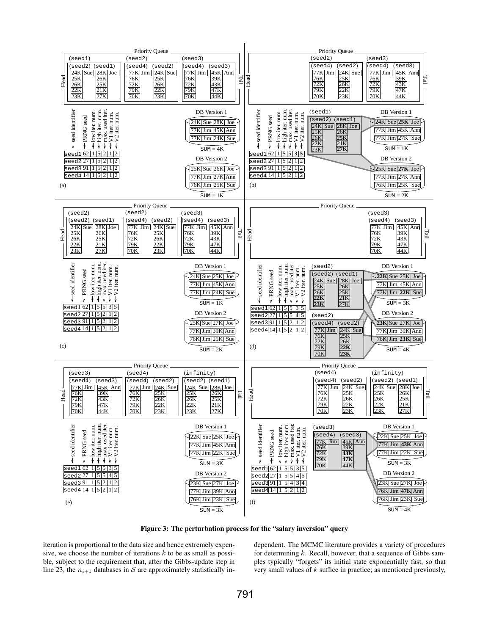

Figure 3: The perturbation process for the "salary inversion" query

iteration is proportional to the data size and hence extremely expensive, we choose the number of iterations  $k$  to be as small as possible, subject to the requirement that, after the Gibbs-update step in line 23, the  $n_{i+1}$  databases in S are approximately statistically independent. The MCMC literature provides a variety of procedures for determining  $k$ . Recall, however, that a sequence of Gibbs samples typically "forgets" its initial state exponentially fast, so that very small values of  $k$  suffice in practice; as mentioned previously,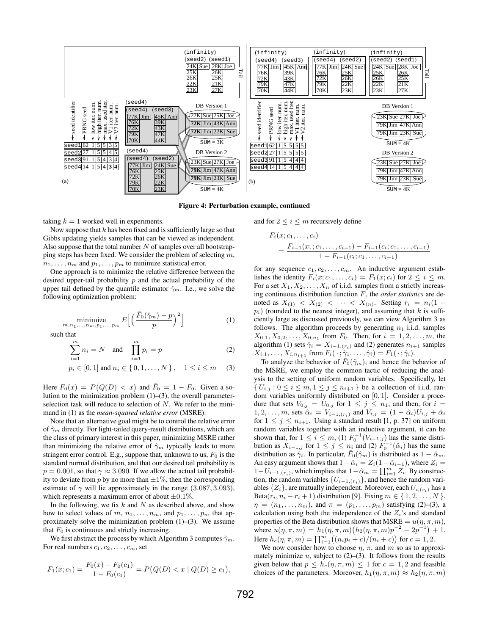

Figure 4: Perturbation example, continued

taking  $k = 1$  worked well in experiments.

Now suppose that  $k$  has been fixed and is sufficiently large so that Gibbs updating yields samples that can be viewed as independent. Also suppose that the total number  $N$  of samples over all bootstrapping steps has been fixed. We consider the problem of selecting  $m$ ,  $n_1, \ldots, n_m$  and  $p_1, \ldots, p_m$  to minimize statistical error.

One approach is to minimize the relative difference between the desired upper-tail probability  $p$  and the actual probability of the upper tail defined by the quantile estimator  $\hat{\gamma}_m$ . I.e., we solve the following optimization problem:

$$
\underset{m,n_1,\ldots,n_m,p_1,\ldots,p_m}{\text{minimize}} E\left[\left(\frac{\bar{F}_0(\hat{\gamma}_m)-p}{p}\right)^2\right] \tag{1}
$$

such that

$$
\sum_{i=1}^{m} n_i = N \quad \text{and} \quad \prod_{i=1}^{m} p_i = p \tag{2}
$$

$$
p_i \in [0, 1]
$$
 and  $n_i \in \{0, 1, ..., N\}$ ,  $1 \le i \le m$  (3)

Here  $F_0(x) = P(Q(D) < x)$  and  $\overline{F}_0 = 1 - F_0$ . Given a solution to the minimization problem (1)–(3), the overall parameterselection task will reduce to selection of  $N$ . We refer to the minimand in (1) as the *mean-squared relative error* (MSRE).

Note that an alternative goal might be to control the relative error of  $\hat{\gamma}_m$  directly. For light-tailed query-result distributions, which are the class of primary interest in this paper, minimizing MSRE rather than minimizing the relative error of  $\hat{\gamma}_m$  typically leads to more stringent error control. E.g., suppose that, unknown to us,  $F_0$  is the standard normal distribution, and that our desired tail probability is  $p = 0.001$ , so that  $\gamma \approx 3.090$ . If we allow the actual tail probability to deviate from  $p$  by no more than  $\pm 1\%$ , then the corresponding estimate of  $\gamma$  will lie approximately in the range (3.087, 3.093), which represents a maximum error of about  $\pm 0.1\%$ .

In the following, we fix  $k$  and  $N$  as described above, and show how to select values of m,  $n_1, \ldots, n_m$ , and  $p_1, \ldots, p_m$  that approximately solve the minimization problem  $(1)$ – $(3)$ . We assume that  $F_0$  is continuous and strictly increasing.

We first abstract the process by which Algorithm 3 computes  $\hat{\gamma}_m$ . For real numbers  $c_1, c_2, \ldots, c_m$ , set

$$
F_1(x; c_1) = \frac{F_0(x) - F_0(c_1)}{1 - F_0(c_1)} = P(Q(D) < x \mid Q(D) \ge c_1),
$$

and for  $2 \leq i \leq m$  recursively define

$$
F_i(x; c_1, \ldots, c_i)
$$
  
= 
$$
\frac{F_{i-1}(x; c_1, \ldots, c_{i-1}) - F_{i-1}(c_i; c_1, \ldots, c_{i-1})}{1 - F_{i-1}(c_i; c_1, \ldots, c_{i-1})}
$$

for any sequence  $c_1, c_2, \ldots, c_m$ . An inductive argument establishes the identity  $F_i(x; c_1, \ldots, c_i) = F_1(x; c_i)$  for  $2 \leq i \leq m$ . For a set  $X_1, X_2, \ldots, X_n$  of i.i.d. samples from a strictly increasing continuous distribution function F, the *order statistics* are denoted as  $X_{(1)} < X_{(2)} < \cdots < X_{(n)}$ . Setting  $r_i = n_i(1$  $p_i)$  (rounded to the nearest integer), and assuming that k is sufficiently large as discussed previously, we can view Algorithm 3 as follows. The algorithm proceeds by generating  $n_1$  i.i.d. samples  $X_{0,1}, X_{0,2}, \ldots, X_{0,n_1}$  from  $F_0$ . Then, for  $i = 1, 2, \ldots, m$ , the algorithm (1) sets  $\hat{\gamma}_i = X_{i-1,(r_i)}$  and (2) generates  $n_{i+1}$  samples  $X_{i,1}, \ldots, X_{i,n_{i+1}}$  from  $F_i(\cdot; \hat{\gamma}_1, \ldots, \hat{\gamma}_i) = F_1(\cdot; \hat{\gamma}_i)$ .

To analyze the behavior of  $\bar{F}_0(\hat{\gamma}_m)$ , and hence the behavior of the MSRE, we employ the common tactic of reducing the analysis to the setting of uniform random variables. Specifically, let  $\{U_{i,j}: 0 \le i \le m, 1 \le j \le n_{i+1}\}\$  be a collection of i.i.d. random variables uniformly distributed on [0, 1]. Consider a procedure that sets  $V_{0,j} = U_{0,j}$  for  $1 \leq j \leq n_1$ , and then, for  $i =$  $1, 2, \ldots, m$ , sets  $\hat{\alpha}_i = V_{i-1,(r_i)}$  and  $V_{i,j} = (1 - \hat{\alpha}_i)U_{i,j} + \hat{\alpha}_i$ for  $1 \leq j \leq n_{i+1}$ . Using a standard result [1, p. 37] on uniform random variables together with an inductive argument, it can be shown that, for  $1 \le i \le m$ , (1)  $F_0^{-1}(V_{i-1,j})$  has the same distribution as  $X_{i-1,j}$  for  $1 \leq j \leq n_i$  and (2)  $F_0^{-1}(\hat{\alpha}_i)$  has the same distribution as  $\hat{\gamma}_i$ . In particular,  $F_0(\hat{\gamma}_m)$  is distributed as  $1 - \hat{\alpha}_m$ . An easy argument shows that  $1-\hat{\alpha}_i = Z_i(1-\hat{\alpha}_{i-1})$ , where  $Z_i =$  $1-U_{i-1,(r_i)}$ , which implies that  $1-\hat{\alpha}_m = \prod_{i=1}^m Z_i$ . By construction, the random variables  $\{U_{i-1,(r_i)}\}$ , and hence the random variables  $\{Z_i\}$ , are mutually independent. Moreover, each  $U_{i,(r_i)}$  has a Beta $(r_i, n_i - r_i + 1)$  distribution [9]. Fixing  $m \in \{1, 2, \ldots, N\}$ ,  $\eta = (n_1, \ldots, n_m)$ , and  $\pi = (p_1, \ldots, p_m)$  satisfying (2)–(3), a calculation using both the independence of the  $Z_i$ 's and standard properties of the Beta distribution shows that  $MSRE = u(\eta, \pi, m)$ , where  $u(\eta, \pi, m) = h_1(\eta, \pi, m) (h_2(\eta, \pi, m) p^{-2} - 2p^{-1}) + 1$ . Here  $h_c(\eta, \pi, m) = \prod_{i=1}^m ((n_i p_i + c)/(n_i + c))$  for  $c = 1, 2$ .

We now consider how to choose  $\eta$ ,  $\pi$ , and  $m$  so as to approximately minimize  $u$ , subject to  $(2)$ – $(3)$ . It follows from the results given below that  $p \leq h_c(\eta, \pi, m) \leq 1$  for  $c = 1, 2$  and feasible choices of the parameters. Moreover,  $h_1(\eta, \pi, m) \approx h_2(\eta, \pi, m)$